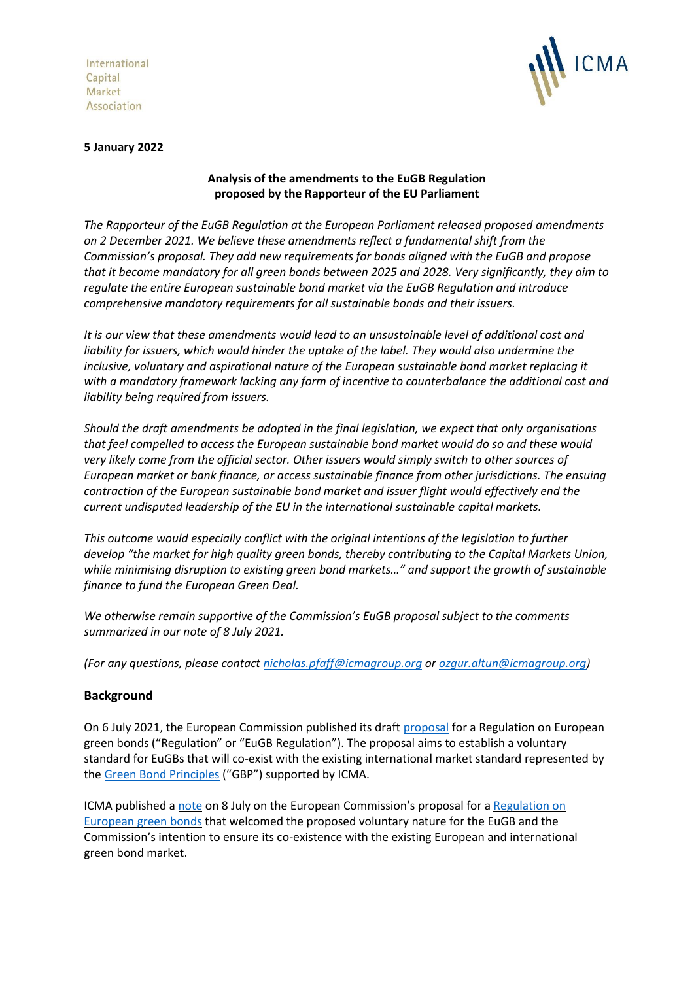International Capital Market Association



#### **5 January 2022**

## **Analysis of the amendments to the EuGB Regulation proposed by the Rapporteur of the EU Parliament**

*The Rapporteur of the EuGB Regulation at the European Parliament released proposed amendments on 2 December 2021. We believe these amendments reflect a fundamental shift from the Commission's proposal. They add new requirements for bonds aligned with the EuGB and propose that it become mandatory for all green bonds between 2025 and 2028. Very significantly, they aim to regulate the entire European sustainable bond market via the EuGB Regulation and introduce comprehensive mandatory requirements for all sustainable bonds and their issuers.*

*It is our view that these amendments would lead to an unsustainable level of additional cost and liability for issuers, which would hinder the uptake of the label. They would also undermine the inclusive, voluntary and aspirational nature of the European sustainable bond market replacing it with a mandatory framework lacking any form of incentive to counterbalance the additional cost and liability being required from issuers.*

*Should the draft amendments be adopted in the final legislation, we expect that only organisations that feel compelled to access the European sustainable bond market would do so and these would very likely come from the official sector. Other issuers would simply switch to other sources of European market or bank finance, or access sustainable finance from other jurisdictions. The ensuing contraction of the European sustainable bond market and issuer flight would effectively end the current undisputed leadership of the EU in the international sustainable capital markets.*

*This outcome would especially conflict with the original intentions of the legislation to further develop "the market for high quality green bonds, thereby contributing to the Capital Markets Union, while minimising disruption to existing green bond markets…" and support the growth of sustainable finance to fund the European Green Deal.*

*We otherwise remain supportive of the Commission's EuGB proposal subject to the comments summarized in our note of 8 July 2021.*

*(For any questions, please contact [nicholas.pfaff@icmagroup.org](mailto:nicholas.pfaff@icmagroup.org) o[r ozgur.altun@icmagroup.org\)](mailto:ozgur.altun@icmagroup.org)*

### **Background**

On 6 July 2021, the European Commission published its draft [proposal](https://eur-lex.europa.eu/legal-content/EN/TXT/?uri=CELEX:52021PC0391) for a Regulation on European green bonds ("Regulation" or "EuGB Regulation"). The proposal aims to establish a voluntary standard for EuGBs that will co-exist with the existing international market standard represented by th[e Green Bond Principles](https://www.icmagroup.org/sustainable-finance/the-principles-guidelines-and-handbooks/green-bond-principles-gbp/) ("GBP") supported by ICMA.

ICMA published a [note](https://www.icmagroup.org/assets/documents/Sustainable-finance/Responses/ICMA-analysis-of-the-EuGB-Regulation-080721v2.pdf?utm_source=ICMA+Total+Subscribes&utm_campaign=6d6cd9c5d3-EMAIL__ICMA+analysis+of+EuGB+July+202&utm_medium=email&utm_term=0_74a993020a-6d6cd9c5d3-74310157) on 8 July on the European Commission's proposal for a [Regulation on](https://ec.europa.eu/finance/docs/law/210704-proposal-green-bonds-standard_en.pdf)  [European green bonds](https://ec.europa.eu/finance/docs/law/210704-proposal-green-bonds-standard_en.pdf) that welcomed the proposed voluntary nature for the EuGB and the Commission's intention to ensure its co-existence with the existing European and international green bond market.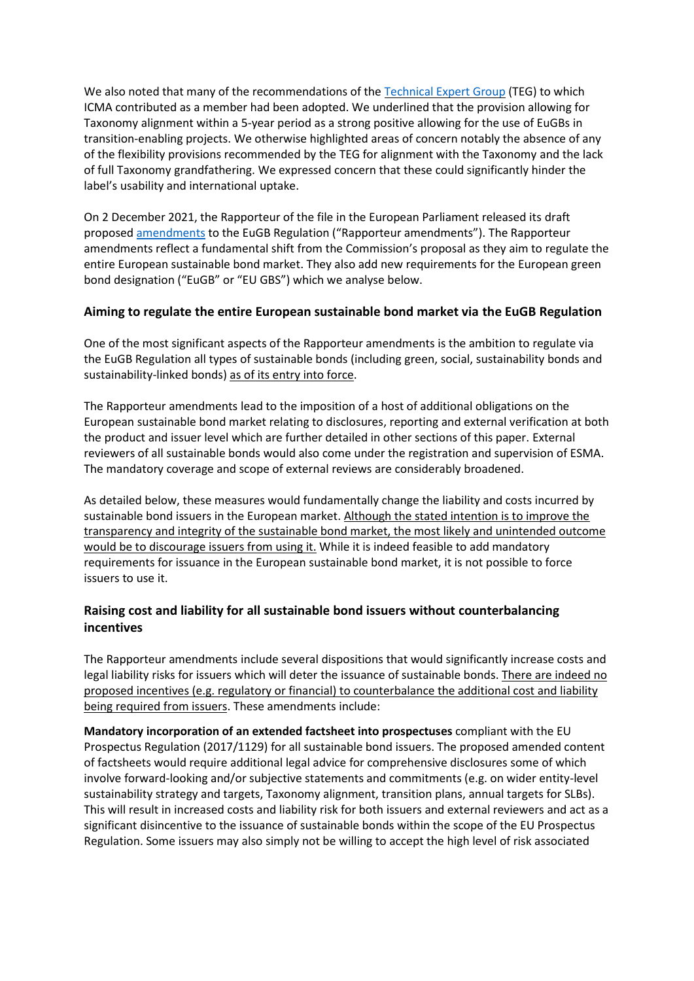We also noted that many of the recommendations of th[e Technical Expert Group](https://ec.europa.eu/info/publications/sustainable-finance-technical-expert-group_en) (TEG) to which ICMA contributed as a member had been adopted. We underlined that the provision allowing for Taxonomy alignment within a 5-year period as a strong positive allowing for the use of EuGBs in transition-enabling projects. We otherwise highlighted areas of concern notably the absence of any of the flexibility provisions recommended by the TEG for alignment with the Taxonomy and the lack of full Taxonomy grandfathering. We expressed concern that these could significantly hinder the label's usability and international uptake.

On 2 December 2021, the Rapporteur of the file in the European Parliament released its draft proposed [amendments](https://www.europarl.europa.eu/doceo/document/ECON-PR-700638_EN.html) to the EuGB Regulation ("Rapporteur amendments"). The Rapporteur amendments reflect a fundamental shift from the Commission's proposal as they aim to regulate the entire European sustainable bond market. They also add new requirements for the European green bond designation ("EuGB" or "EU GBS") which we analyse below.

# **Aiming to regulate the entire European sustainable bond market via the EuGB Regulation**

One of the most significant aspects of the Rapporteur amendments is the ambition to regulate via the EuGB Regulation all types of sustainable bonds (including green, social, sustainability bonds and sustainability-linked bonds) as of its entry into force.

The Rapporteur amendments lead to the imposition of a host of additional obligations on the European sustainable bond market relating to disclosures, reporting and external verification at both the product and issuer level which are further detailed in other sections of this paper. External reviewers of all sustainable bonds would also come under the registration and supervision of ESMA. The mandatory coverage and scope of external reviews are considerably broadened.

As detailed below, these measures would fundamentally change the liability and costs incurred by sustainable bond issuers in the European market. Although the stated intention is to improve the transparency and integrity of the sustainable bond market, the most likely and unintended outcome would be to discourage issuers from using it. While it is indeed feasible to add mandatory requirements for issuance in the European sustainable bond market, it is not possible to force issuers to use it.

# **Raising cost and liability for all sustainable bond issuers without counterbalancing incentives**

The Rapporteur amendments include several dispositions that would significantly increase costs and legal liability risks for issuers which will deter the issuance of sustainable bonds. There are indeed no proposed incentives (e.g. regulatory or financial) to counterbalance the additional cost and liability being required from issuers. These amendments include:

**Mandatory incorporation of an extended factsheet into prospectuses** compliant with the EU Prospectus Regulation (2017/1129) for all sustainable bond issuers. The proposed amended content of factsheets would require additional legal advice for comprehensive disclosures some of which involve forward-looking and/or subjective statements and commitments (e.g. on wider entity-level sustainability strategy and targets, Taxonomy alignment, transition plans, annual targets for SLBs). This will result in increased costs and liability risk for both issuers and external reviewers and act as a significant disincentive to the issuance of sustainable bonds within the scope of the EU Prospectus Regulation. Some issuers may also simply not be willing to accept the high level of risk associated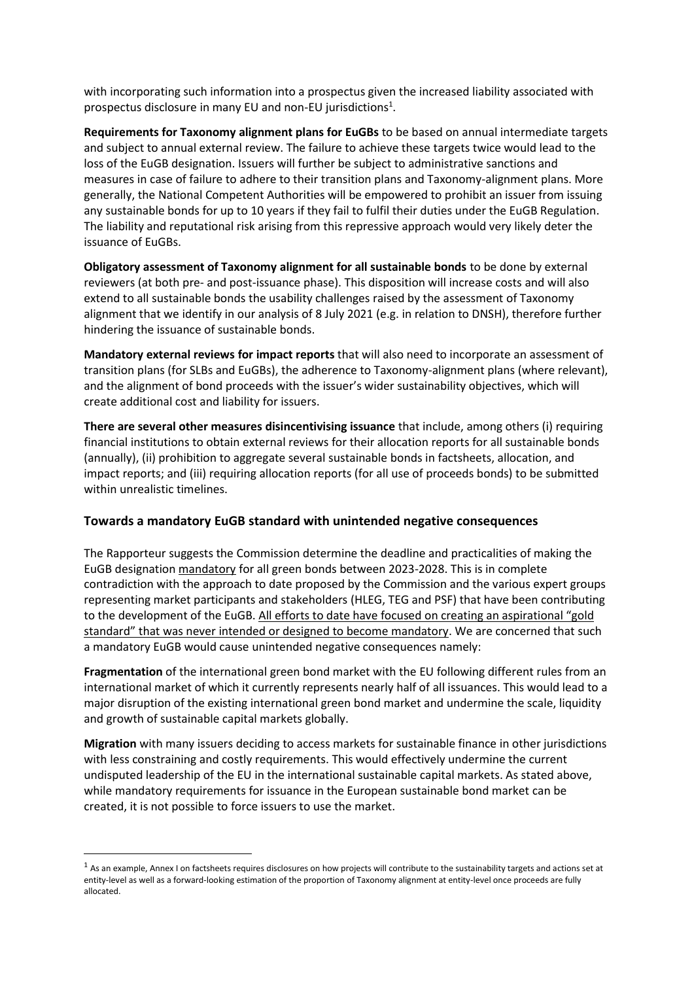with incorporating such information into a prospectus given the increased liability associated with prospectus disclosure in many EU and non-EU jurisdictions<sup>1</sup>.

**Requirements for Taxonomy alignment plans for EuGBs** to be based on annual intermediate targets and subject to annual external review. The failure to achieve these targets twice would lead to the loss of the EuGB designation. Issuers will further be subject to administrative sanctions and measures in case of failure to adhere to their transition plans and Taxonomy-alignment plans. More generally, the National Competent Authorities will be empowered to prohibit an issuer from issuing any sustainable bonds for up to 10 years if they fail to fulfil their duties under the EuGB Regulation. The liability and reputational risk arising from this repressive approach would very likely deter the issuance of EuGBs.

**Obligatory assessment of Taxonomy alignment for all sustainable bonds** to be done by external reviewers (at both pre- and post-issuance phase). This disposition will increase costs and will also extend to all sustainable bonds the usability challenges raised by the assessment of Taxonomy alignment that we identify in our analysis of 8 July 2021 (e.g. in relation to DNSH), therefore further hindering the issuance of sustainable bonds.

**Mandatory external reviews for impact reports** that will also need to incorporate an assessment of transition plans (for SLBs and EuGBs), the adherence to Taxonomy-alignment plans (where relevant), and the alignment of bond proceeds with the issuer's wider sustainability objectives, which will create additional cost and liability for issuers.

**There are several other measures disincentivising issuance** that include, among others (i) requiring financial institutions to obtain external reviews for their allocation reports for all sustainable bonds (annually), (ii) prohibition to aggregate several sustainable bonds in factsheets, allocation, and impact reports; and (iii) requiring allocation reports (for all use of proceeds bonds) to be submitted within unrealistic timelines.

### **Towards a mandatory EuGB standard with unintended negative consequences**

The Rapporteur suggests the Commission determine the deadline and practicalities of making the EuGB designation mandatory for all green bonds between 2023-2028. This is in complete contradiction with the approach to date proposed by the Commission and the various expert groups representing market participants and stakeholders (HLEG, TEG and PSF) that have been contributing to the development of the EuGB. All efforts to date have focused on creating an aspirational "gold standard" that was never intended or designed to become mandatory. We are concerned that such a mandatory EuGB would cause unintended negative consequences namely:

**Fragmentation** of the international green bond market with the EU following different rules from an international market of which it currently represents nearly half of all issuances. This would lead to a major disruption of the existing international green bond market and undermine the scale, liquidity and growth of sustainable capital markets globally.

**Migration** with many issuers deciding to access markets for sustainable finance in other jurisdictions with less constraining and costly requirements. This would effectively undermine the current undisputed leadership of the EU in the international sustainable capital markets. As stated above, while mandatory requirements for issuance in the European sustainable bond market can be created, it is not possible to force issuers to use the market.

 $1$  As an example, Annex I on factsheets requires disclosures on how projects will contribute to the sustainability targets and actions set at entity-level as well as a forward-looking estimation of the proportion of Taxonomy alignment at entity-level once proceeds are fully allocated.